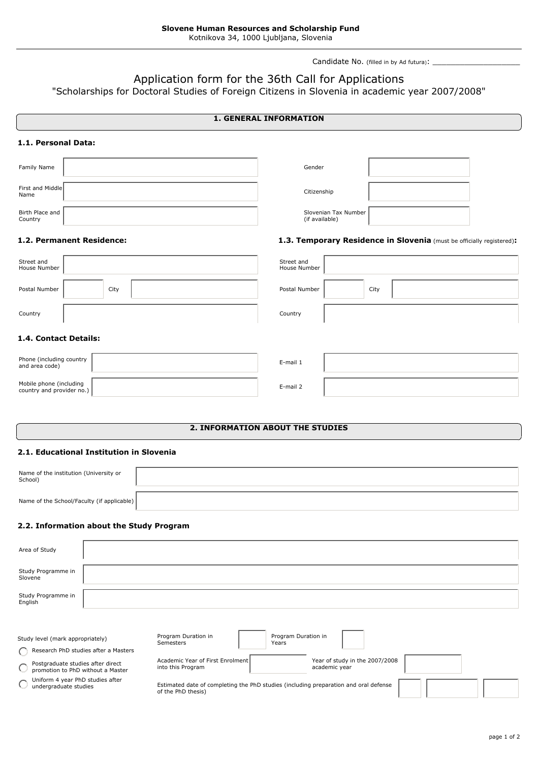Candidate No. (filled in by Ad futura): \_\_\_\_\_\_\_\_\_\_\_\_\_\_\_\_\_\_\_

**1.3. Temporary Residence in Slovenia** (must be officially registered)**:**

# Application form for the 36th Call for Applications

"Scholarships for Doctoral Studies of Foreign Citizens in Slovenia in academic year 2007/2008"

# **1. GENERAL INFORMATION**

#### **1.1. Personal Data:**

| Family Name                | Gender                                 |  |
|----------------------------|----------------------------------------|--|
| First and Middle<br>Name   | Citizenship                            |  |
| Birth Place and<br>Country | Slovenian Tax Number<br>(if available) |  |

#### **1.2. Permanent Residence:**

| Street and                   | Street and    |  |  |  |
|------------------------------|---------------|--|--|--|
| House Number                 | House Number  |  |  |  |
| Postal Number                | Postal Number |  |  |  |
| City                         | City          |  |  |  |
| Country                      | Country       |  |  |  |
| <b>1.4. Contact Details:</b> |               |  |  |  |

| Phone (including country<br>and area code)        | E-mail 1 |  |
|---------------------------------------------------|----------|--|
| Mobile phone (including country and provider no.) | E-mail 2 |  |

# **2. INFORMATION ABOUT THE STUDIES**

# **2.1. Educational Institution in Slovenia**

| Name of the institution (University or<br>School) |  |
|---------------------------------------------------|--|
| Name of the School/Faculty (if applicable)        |  |

#### **2.2. Information about the Study Program**

| Area of Study<br>Study Programme in                                                  |  |                                                                                                            |                                                 |  |
|--------------------------------------------------------------------------------------|--|------------------------------------------------------------------------------------------------------------|-------------------------------------------------|--|
| Slovene                                                                              |  |                                                                                                            |                                                 |  |
| Study Programme in<br>English                                                        |  |                                                                                                            |                                                 |  |
|                                                                                      |  |                                                                                                            |                                                 |  |
| Study level (mark appropriately)                                                     |  | Program Duration in<br><b>Semesters</b><br>Years                                                           | Program Duration in                             |  |
| Research PhD studies after a Masters                                                 |  |                                                                                                            |                                                 |  |
| Postgraduate studies after direct<br>$\bigcirc$<br>promotion to PhD without a Master |  | Academic Year of First Enrolment<br>into this Program                                                      | Year of study in the 2007/2008<br>academic year |  |
| Uniform 4 year PhD studies after<br>undergraduate studies                            |  | Estimated date of completing the PhD studies (including preparation and oral defense<br>of the PhD thesis) |                                                 |  |